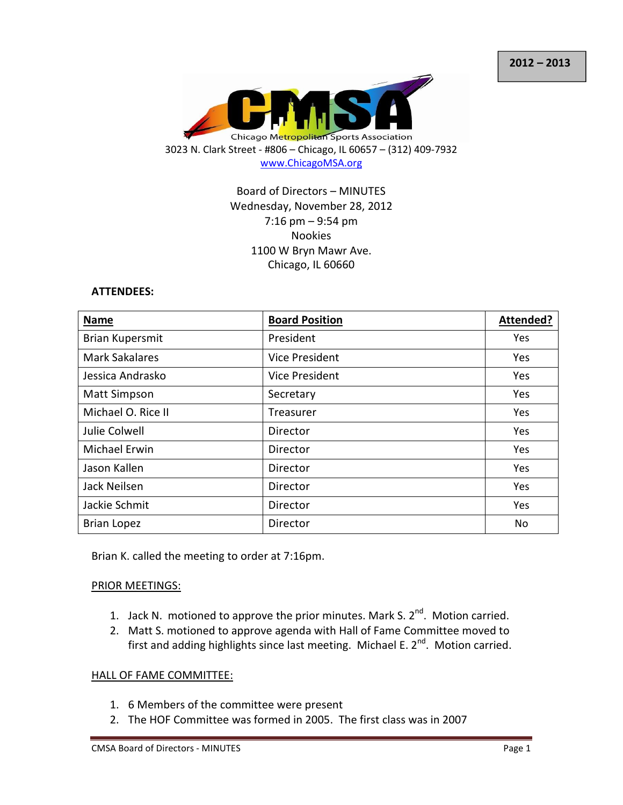

# Board of Directors – MINUTES Wednesday, November 28, 2012 7:16 pm – 9:54 pm Nookies 1100 W Bryn Mawr Ave. Chicago, IL 60660

#### ATTENDEES:

| <b>Name</b>            | <b>Board Position</b> | Attended?  |
|------------------------|-----------------------|------------|
| <b>Brian Kupersmit</b> | President             | <b>Yes</b> |
| <b>Mark Sakalares</b>  | <b>Vice President</b> | Yes        |
| Jessica Andrasko       | Vice President        | Yes        |
| <b>Matt Simpson</b>    | Secretary             | Yes        |
| Michael O. Rice II     | Treasurer             | Yes        |
| Julie Colwell          | Director              | Yes        |
| <b>Michael Erwin</b>   | Director              | Yes        |
| Jason Kallen           | Director              | Yes        |
| Jack Neilsen           | Director              | Yes        |
| Jackie Schmit          | Director              | Yes        |
| <b>Brian Lopez</b>     | Director              | No         |

Brian K. called the meeting to order at 7:16pm.

#### PRIOR MEETINGS:

- 1. Jack N. motioned to approve the prior minutes. Mark S.  $2^{nd}$ . Motion carried.
- 2. Matt S. motioned to approve agenda with Hall of Fame Committee moved to first and adding highlights since last meeting. Michael E.  $2^{nd}$ . Motion carried.

#### HALL OF FAME COMMITTEE:

- 1. 6 Members of the committee were present
- 2. The HOF Committee was formed in 2005. The first class was in 2007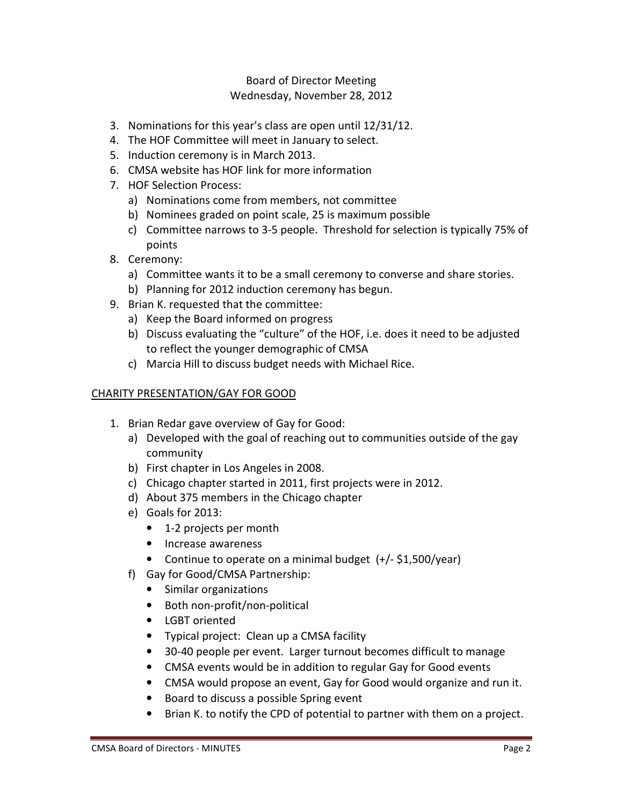- 3. Nominations for this year's class are open until 12/31/12.
- 4. The HOF Committee will meet in January to select.
- 5. Induction ceremony is in March 2013.
- 6. CMSA website has HOF link for more information
- 7. HOF Selection Process:
	- a) Nominations come from members, not committee
	- b) Nominees graded on point scale, 25 is maximum possible
	- c) Committee narrows to 3-5 people. Threshold for selection is typically 75% of points
- 8. Ceremony:
	- a) Committee wants it to be a small ceremony to converse and share stories.
	- b) Planning for 2012 induction ceremony has begun.
- 9. Brian K. requested that the committee:
	- a) Keep the Board informed on progress
	- b) Discuss evaluating the "culture" of the HOF, i.e. does it need to be adjusted to reflect the younger demographic of CMSA
	- c) Marcia Hill to discuss budget needs with Michael Rice.

## CHARITY PRESENTATION/GAY FOR GOOD

- 1. Brian Redar gave overview of Gay for Good:
	- a) Developed with the goal of reaching out to communities outside of the gay community
	- b) First chapter in Los Angeles in 2008.
	- c) Chicago chapter started in 2011, first projects were in 2012.
	- d) About 375 members in the Chicago chapter
	- e) Goals for 2013:
		- 1-2 projects per month
		- Increase awareness
		- Continue to operate on a minimal budget (+/- \$1,500/year)
	- f) Gay for Good/CMSA Partnership:
		- Similar organizations
		- Both non-profit/non-political
		- LGBT oriented
		- Typical project: Clean up a CMSA facility
		- 30-40 people per event. Larger turnout becomes difficult to manage
		- CMSA events would be in addition to regular Gay for Good events
		- CMSA would propose an event, Gay for Good would organize and run it.
		- Board to discuss a possible Spring event
		- Brian K. to notify the CPD of potential to partner with them on a project.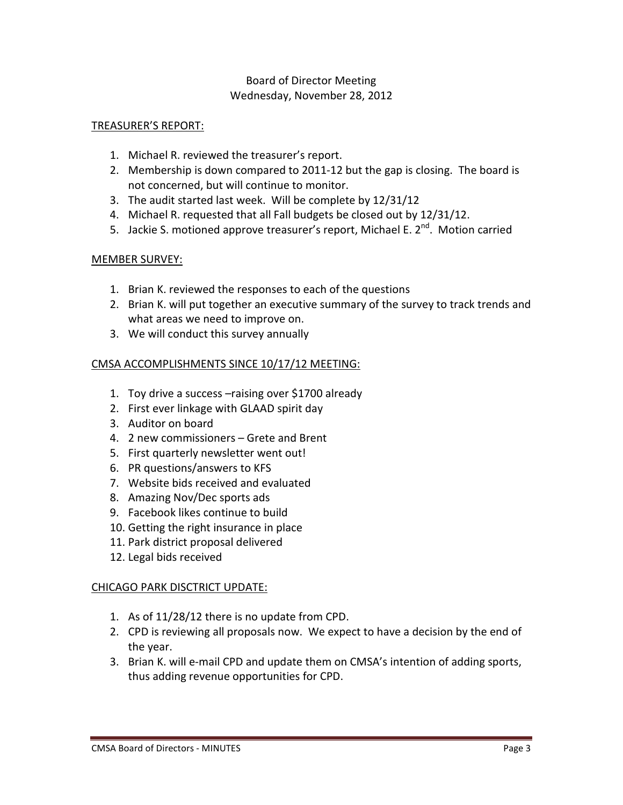### TREASURER'S REPORT:

- 1. Michael R. reviewed the treasurer's report.
- 2. Membership is down compared to 2011-12 but the gap is closing. The board is not concerned, but will continue to monitor.
- 3. The audit started last week. Will be complete by 12/31/12
- 4. Michael R. requested that all Fall budgets be closed out by 12/31/12.
- 5. Jackie S. motioned approve treasurer's report, Michael E. 2<sup>nd</sup>. Motion carried

### MEMBER SURVEY:

- 1. Brian K. reviewed the responses to each of the questions
- 2. Brian K. will put together an executive summary of the survey to track trends and what areas we need to improve on.
- 3. We will conduct this survey annually

### CMSA ACCOMPLISHMENTS SINCE 10/17/12 MEETING:

- 1. Toy drive a success –raising over \$1700 already
- 2. First ever linkage with GLAAD spirit day
- 3. Auditor on board
- 4. 2 new commissioners Grete and Brent
- 5. First quarterly newsletter went out!
- 6. PR questions/answers to KFS
- 7. Website bids received and evaluated
- 8. Amazing Nov/Dec sports ads
- 9. Facebook likes continue to build
- 10. Getting the right insurance in place
- 11. Park district proposal delivered
- 12. Legal bids received

### CHICAGO PARK DISCTRICT UPDATE:

- 1. As of 11/28/12 there is no update from CPD.
- 2. CPD is reviewing all proposals now. We expect to have a decision by the end of the year.
- 3. Brian K. will e-mail CPD and update them on CMSA's intention of adding sports, thus adding revenue opportunities for CPD.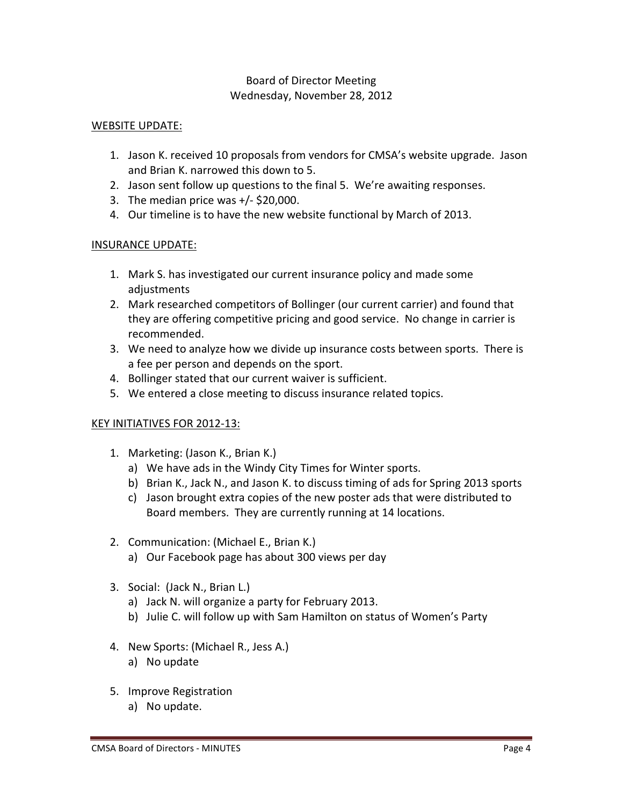### WEBSITE UPDATE:

- 1. Jason K. received 10 proposals from vendors for CMSA's website upgrade. Jason and Brian K. narrowed this down to 5.
- 2. Jason sent follow up questions to the final 5. We're awaiting responses.
- 3. The median price was  $+/-$  \$20,000.
- 4. Our timeline is to have the new website functional by March of 2013.

#### INSURANCE UPDATE:

- 1. Mark S. has investigated our current insurance policy and made some adjustments
- 2. Mark researched competitors of Bollinger (our current carrier) and found that they are offering competitive pricing and good service. No change in carrier is recommended.
- 3. We need to analyze how we divide up insurance costs between sports. There is a fee per person and depends on the sport.
- 4. Bollinger stated that our current waiver is sufficient.
- 5. We entered a close meeting to discuss insurance related topics.

### KEY INITIATIVES FOR 2012-13:

- 1. Marketing: (Jason K., Brian K.)
	- a) We have ads in the Windy City Times for Winter sports.
	- b) Brian K., Jack N., and Jason K. to discuss timing of ads for Spring 2013 sports
	- c) Jason brought extra copies of the new poster ads that were distributed to Board members. They are currently running at 14 locations.
- 2. Communication: (Michael E., Brian K.)
	- a) Our Facebook page has about 300 views per day
- 3. Social: (Jack N., Brian L.)
	- a) Jack N. will organize a party for February 2013.
	- b) Julie C. will follow up with Sam Hamilton on status of Women's Party
- 4. New Sports: (Michael R., Jess A.)
	- a) No update
- 5. Improve Registration
	- a) No update.